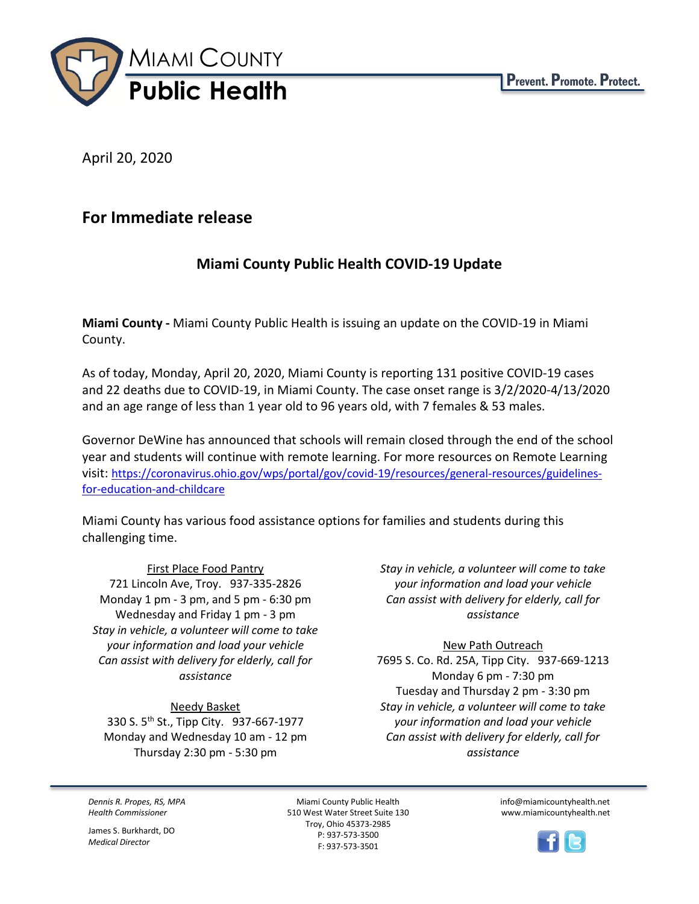

April 20, 2020

# **For Immediate release**

# **Miami County Public Health COVID-19 Update**

**Miami County -** Miami County Public Health is issuing an update on the COVID-19 in Miami County.

As of today, Monday, April 20, 2020, Miami County is reporting 131 positive COVID-19 cases and 22 deaths due to COVID-19, in Miami County. The case onset range is 3/2/2020-4/13/2020 and an age range of less than 1 year old to 96 years old, with 7 females & 53 males.

Governor DeWine has announced that schools will remain closed through the end of the school year and students will continue with remote learning. For more resources on Remote Learning visit: [https://coronavirus.ohio.gov/wps/portal/gov/covid-19/resources/general-resources/guidelines](https://coronavirus.ohio.gov/wps/portal/gov/covid-19/resources/general-resources/guidelines-for-education-and-childcare)[for-education-and-childcare](https://coronavirus.ohio.gov/wps/portal/gov/covid-19/resources/general-resources/guidelines-for-education-and-childcare)

Miami County has various food assistance options for families and students during this challenging time.

First Place Food Pantry 721 Lincoln Ave, Troy. 937-335-2826 Monday 1 pm - 3 pm, and 5 pm - 6:30 pm Wednesday and Friday 1 pm - 3 pm *Stay in vehicle, a volunteer will come to take your information and load your vehicle Can assist with delivery for elderly, call for assistance*

Needy Basket 330 S. 5th St., Tipp City. 937-667-1977 Monday and Wednesday 10 am - 12 pm Thursday 2:30 pm - 5:30 pm

*Stay in vehicle, a volunteer will come to take your information and load your vehicle Can assist with delivery for elderly, call for assistance*

# New Path Outreach

7695 S. Co. Rd. 25A, Tipp City. 937-669-1213 Monday 6 pm - 7:30 pm Tuesday and Thursday 2 pm - 3:30 pm *Stay in vehicle, a volunteer will come to take your information and load your vehicle Can assist with delivery for elderly, call for assistance*

*Dennis R. Propes, RS, MPA Health Commissioner*

James S. Burkhardt, DO *Medical Director*

Miami County Public Health 510 West Water Street Suite 130 Troy, Ohio 45373-2985 P: 937-573-3500 F: 937-573-3501

info@miamicountyhealth.net www.miamicountyhealth.net

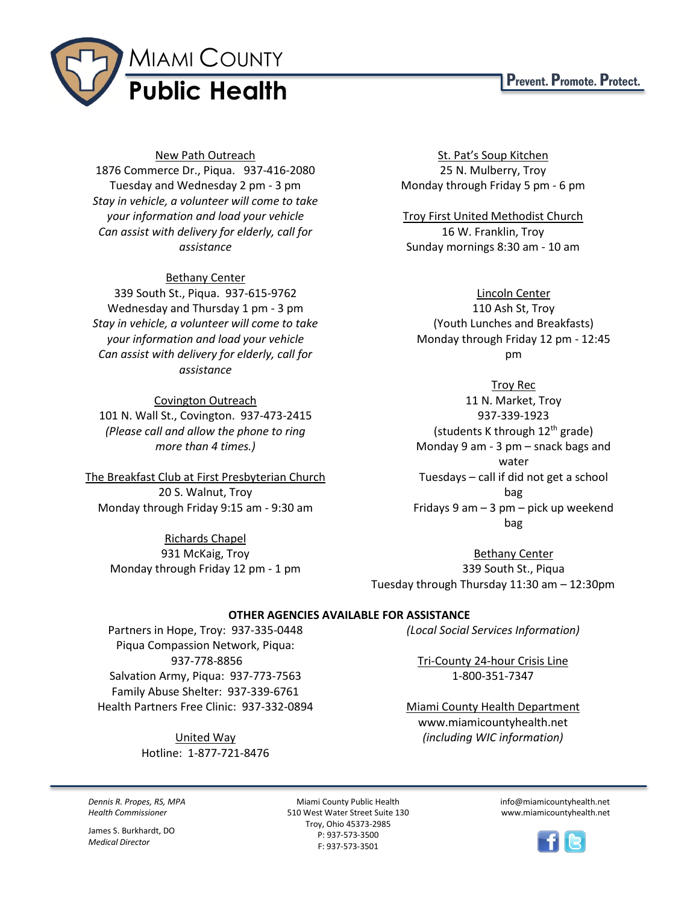

## New Path Outreach

1876 Commerce Dr., Piqua. 937-416-2080 Tuesday and Wednesday 2 pm - 3 pm *Stay in vehicle, a volunteer will come to take your information and load your vehicle Can assist with delivery for elderly, call for assistance*

## Bethany Center

339 South St., Piqua. 937-615-9762 Wednesday and Thursday 1 pm - 3 pm *Stay in vehicle, a volunteer will come to take your information and load your vehicle Can assist with delivery for elderly, call for assistance*

#### Covington Outreach

101 N. Wall St., Covington. 937-473-2415 *(Please call and allow the phone to ring more than 4 times.)*

The Breakfast Club at First Presbyterian Church 20 S. Walnut, Troy Monday through Friday 9:15 am - 9:30 am

> Richards Chapel 931 McKaig, Troy Monday through Friday 12 pm - 1 pm

St. Pat's Soup Kitchen 25 N. Mulberry, Troy Monday through Friday 5 pm - 6 pm

Troy First United Methodist Church 16 W. Franklin, Troy Sunday mornings 8:30 am - 10 am

#### Lincoln Center

110 Ash St, Troy (Youth Lunches and Breakfasts) Monday through Friday 12 pm - 12:45 pm

#### Troy Rec

11 N. Market, Troy 937-339-1923 (students K through  $12^{th}$  grade) Monday 9 am - 3 pm – snack bags and water Tuesdays – call if did not get a school bag Fridays 9 am – 3 pm – pick up weekend bag

Bethany Center 339 South St., Piqua Tuesday through Thursday 11:30 am – 12:30pm

### **OTHER AGENCIES AVAILABLE FOR ASSISTANCE**

Partners in Hope, Troy: 937-335-0448 Piqua Compassion Network, Piqua: 937-778-8856 Salvation Army, Piqua: 937-773-7563 Family Abuse Shelter: 937-339-6761 Health Partners Free Clinic: 937-332-0894

> United Way Hotline: 1-877-721-8476

*(Local Social Services Information)*

Tri-County 24-hour Crisis Line 1-800-351-7347

Miami County Health Department www.miamicountyhealth.net *(including WIC information)*

*Dennis R. Propes, RS, MPA Health Commissioner*

James S. Burkhardt, DO *Medical Director*

Miami County Public Health 510 West Water Street Suite 130 Troy, Ohio 45373-2985 P: 937-573-3500 F: 937-573-3501

info@miamicountyhealth.net www.miamicountyhealth.net



# Prevent. Promote. Protect.